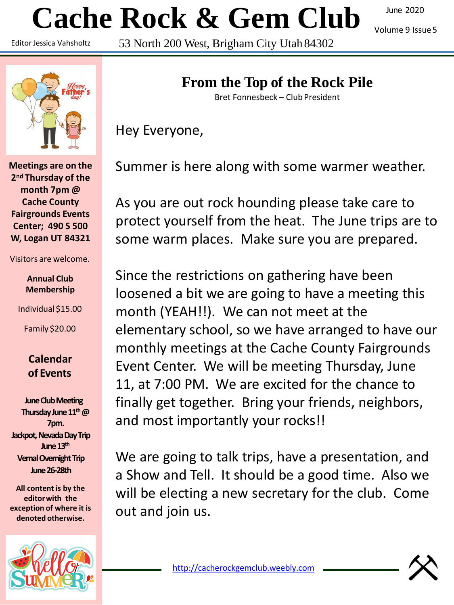# **Cache Rock & Gem Club**

Editor Jessica Vahsholtz

53 North 200 West, Brigham City Utah 84302

June 2020

Volume 9 Issue5



**Meetings are on the 2nd Thursday of the month 7pm @ Cache County Fairgrounds Events Center; 490 S 500 W, Logan UT 84321**

Visitors are welcome.

#### **Annual Club Membership**

Individual \$15.00

Family \$20.00

#### **Calendar of Events**

**June Club Meeting Thursday June 11th@ 7pm. Jackpot, Nevada Day Trip June 13th Vernal Overnight Trip June 26-28th**

**All content is by the editorwith the exception of where it is denoted otherwise.**



# **From the Top of the Rock Pile**

Bret Fonnesbeck – Club President

Hey Everyone,

Summer is here along with some warmer weather.

As you are out rock hounding please take care to protect yourself from the heat. The June trips are to some warm places. Make sure you are prepared.

Since the restrictions on gathering have been loosened a bit we are going to have a meeting this month (YEAH!!). We can not meet at the elementary school, so we have arranged to have our monthly meetings at the Cache County Fairgrounds Event Center. We will be meeting Thursday, June 11, at 7:00 PM. We are excited for the chance to finally get together. Bring your friends, neighbors, and most importantly your rocks!!

We are going to talk trips, have a presentation, and a Show and Tell. It should be a good time. Also we will be electing a new secretary for the club. Come out and join us.

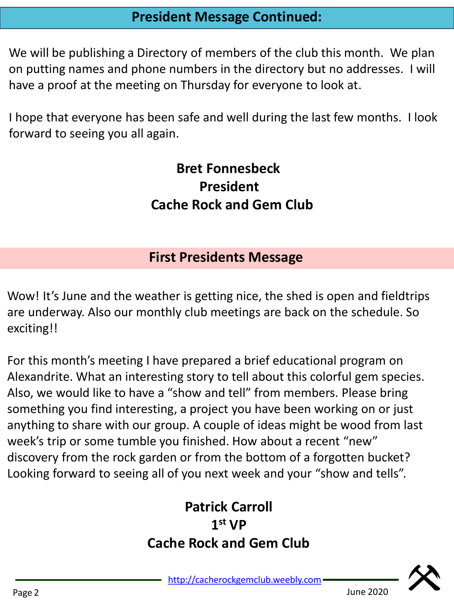# **President Message Continued:**

We will be publishing a Directory of members of the club this month. We plan on putting names and phone numbers in the directory but no addresses. I will have a proof at the meeting on Thursday for everyone to look at.

I hope that everyone has been safe and well during the last few months. I look forward to seeing you all again.

# **Bret Fonnesbeck President Cache Rock and Gem Club**

# **First Presidents Message**

Wow! It's June and the weather is getting nice, the shed is open and fieldtrips are underway. Also our monthly club meetings are back on the schedule. So exciting!!

For this month's meeting I have prepared a brief educational program on Alexandrite. What an interesting story to tell about this colorful gem species. Also, we would like to have a "show and tell" from members. Please bring something you find interesting, a project you have been working on or just anything to share with our group. A couple of ideas might be wood from last week's trip or some tumble you finished. How about a recent "new" discovery from the rock garden or from the bottom of a forgotten bucket? Looking forward to seeing all of you next week and your "show and tells".

# **Patrick Carroll 1 st VP Cache Rock and Gem Club**

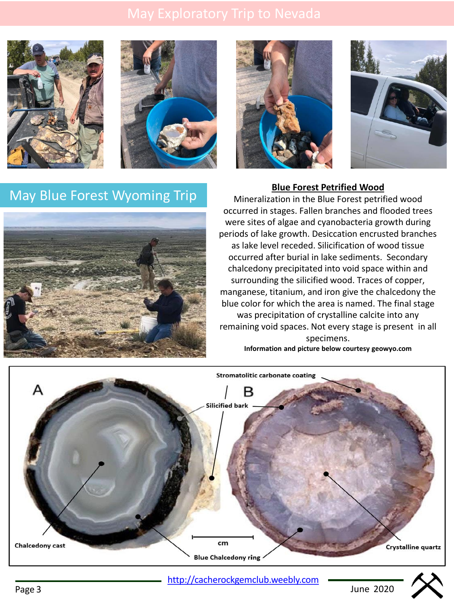







# **May Blue Forest Wyoming Trip Blue Forest Petrified Wood May Blue Forest petrified Wood**



Mineralization in the Blue Forest petrified wood occurred in stages. Fallen branches and flooded trees were sites of algae and cyanobacteria growth during periods of lake growth. Desiccation encrusted branches as lake level receded. Silicification of wood tissue occurred after burial in lake sediments. Secondary chalcedony precipitated into void space within and surrounding the silicified wood. Traces of copper, manganese, titanium, and iron give the chalcedony the blue color for which the area is named. The final stage was precipitation of crystalline calcite into any remaining void spaces. Not every stage is present in all specimens. **Information and picture below courtesy geowyo.com**



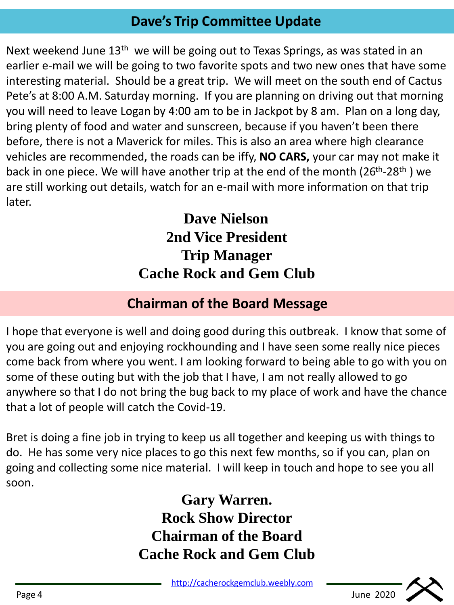# **Dave's Trip Committee Update**

Next weekend June 13<sup>th</sup> we will be going out to Texas Springs, as was stated in an earlier e-mail we will be going to two favorite spots and two new ones that have some interesting material. Should be a great trip. We will meet on the south end of Cactus Pete's at 8:00 A.M. Saturday morning. If you are planning on driving out that morning you will need to leave Logan by 4:00 am to be in Jackpot by 8 am. Plan on a long day, bring plenty of food and water and sunscreen, because if you haven't been there before, there is not a Maverick for miles. This is also an area where high clearance vehicles are recommended, the roads can be iffy, **NO CARS,** your car may not make it back in one piece. We will have another trip at the end of the month (26<sup>th</sup>-28<sup>th</sup>) we are still working out details, watch for an e-mail with more information on that trip later.

> **Dave Nielson 2nd Vice President Trip Manager Cache Rock and Gem Club**

# **Chairman of the Board Message**

I hope that everyone is well and doing good during this outbreak. I know that some of you are going out and enjoying rockhounding and I have seen some really nice pieces come back from where you went. I am looking forward to being able to go with you on some of these outing but with the job that I have, I am not really allowed to go anywhere so that I do not bring the bug back to my place of work and have the chance that a lot of people will catch the Covid-19.

Bret is doing a fine job in trying to keep us all together and keeping us with things to do. He has some very nice places to go this next few months, so if you can, plan on going and collecting some nice material. I will keep in touch and hope to see you all soon.

> **Gary Warren. Rock Show Director Chairman of the Board Cache Rock and Gem Club**

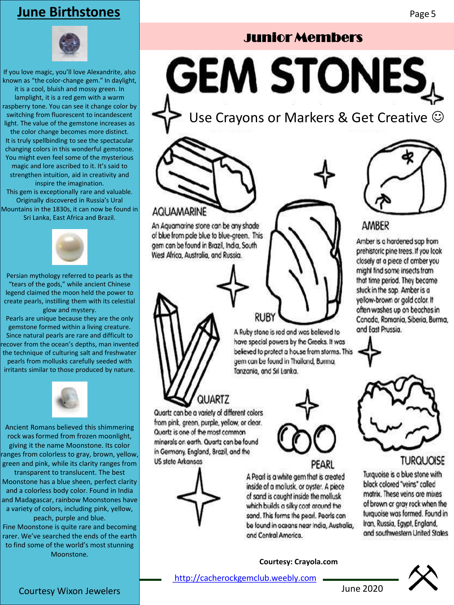### **June Birthstones**

If you love magic, you'll love Alexandrite, also known as "the color-change gem." In daylight, it is a cool, bluish and mossy green. In lamplight, it is a red gem with a warm raspberry tone. You can see it change color by switching from fluorescent to incandescent light. The value of the gemstone increases as the color change becomes more distinct. It is truly spellbinding to see the spectacular changing colors in this wonderful gemstone. You might even feel some of the mysterious magic and lore ascribed to it. It's said to strengthen intuition, aid in creativity and inspire the imagination. This gem is exceptionally rare and valuable. Originally discovered in Russia's Ural Mountains in the 1830s, it can now be found in Sri Lanka, East Africa and Brazil.



Persian mythology referred to pearls as the "tears of the gods," while ancient Chinese legend claimed the moon held the power to create pearls, instilling them with its celestial glow and mystery.

Pearls are unique because they are the only gemstone formed within a living creature. Since natural pearls are rare and difficult to ecover from the ocean's depths, man invented the technique of culturing salt and freshwater pearls from mollusks carefully seeded with irritants similar to those produced by nature.



Ancient Romans believed this shimmering rock was formed from frozen moonlight, giving it the name Moonstone. Its color ranges from colorless to gray, brown, yellow, green and pink, while its clarity ranges from transparent to translucent. The best Moonstone has a blue sheen, perfect clarity and a colorless body color. Found in India and Madagascar, rainbow Moonstones have a variety of colors, including pink, yellow, peach, purple and blue.

Fine Moonstone is quite rare and becoming rarer. We've searched the ends of the earth to find some of the world's most stunning Moonstone.

# Junior Members

**GEM STONES** 

Use Crayons or Markers & Get Creative  $\odot$ 

#### **AQUAMARINE**

An Aquamarine stone can be any shade of blue from pole blue to blue-green. This gem can be found in Brazil, India, South West Africa, Australia, and Russia.



A Ruby stone is red and was believed to have special powers by the Greeks. It was believed to protect a house from storms. This gem can be found in Thailand, Burma, Tanzania, and Sri Lanka.



PEARL

A Pearl is a white gem that is created inside of a mollusk, or oyster. A piece of sand is caught inside the mollusk which builds a silky coat around the sand. This forms the pearl. Pearls can be found in oceans near India, Australia, and Central America.

**Courtesy: Crayola.com**



#### AMBER

Amber is a hardened sap from prehistoric pine trees. If you look closely at a piece of amber you might find some insects from that time period. They became stuck in the sap. Amber is a yellow-brown or gold color. It often washes up on beaches in Canada, Romania, Siberia, Burma, and East Prussia.



**TURQUOISE** 

Turquoise is a blue stone with black colored "veins" called matrix. These veins are mixes of brown or gray rock when the turquoise was formed. Found in Iran, Russia, Egypt, England, and southwestern United Stales



**QUARTZ** Quartz can be a variety of different colors from pink, green, purple, yellow, or clear. Quartz is one of the most common minerals on earth. Quartz can be found in Germany, England, Brazil, and the

**US state Arkansas** 

[http://cacherockgemclub.weebly.com](http://cacherockgemclub.weebly.com/)

Courtesy Wixon Jewelers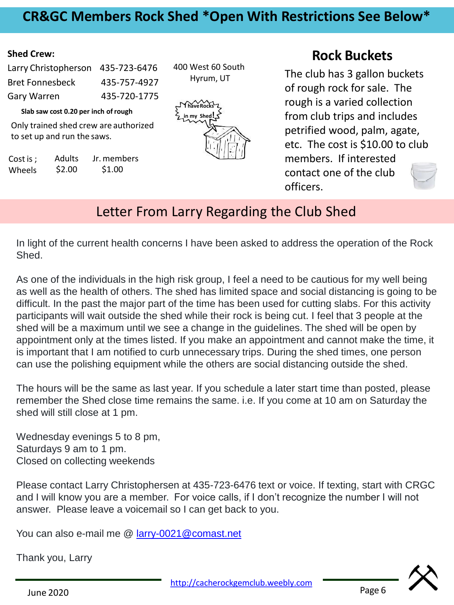## **CR&GC Members Rock Shed \*Open With Restrictions See Below\***

#### **Shed Crew:**

| Larry Christopherson 435-723-6476 |              |
|-----------------------------------|--------------|
| <b>Bret Fonnesbeck</b>            | 435-757-4927 |
| Gary Warren                       | 435-720-1775 |

**Slab saw cost 0.20 per inch ofrough**

Only trained shed crew are authorized to set up and run the saws.

Cost is ; Wheels Adults \$2.00 Jr. members \$1.00



400 West 60 South Hyrum, UT

#### **Rock Buckets**

The club has 3 gallon buckets of rough rock for sale. The rough is a varied collection from club trips and includes petrified wood, palm, agate, etc. The cost is \$10.00 to club members. If interested contact one of the club officers.

### Letter From Larry Regarding the Club Shed

In light of the current health concerns I have been asked to address the operation of the Rock Shed.

As one of the individuals in the high risk group, I feel a need to be cautious for my well being as well as the health of others. The shed has limited space and social distancing is going to be difficult. In the past the major part of the time has been used for cutting slabs. For this activity participants will wait outside the shed while their rock is being cut. I feel that 3 people at the shed will be a maximum until we see a change in the guidelines. The shed will be open by appointment only at the times listed. If you make an appointment and cannot make the time, it is important that I am notified to curb unnecessary trips. During the shed times, one person can use the polishing equipment while the others are social distancing outside the shed.

The hours will be the same as last year. If you schedule a later start time than posted, please remember the Shed close time remains the same. i.e. If you come at 10 am on Saturday the shed will still close at 1 pm.

Wednesday evenings 5 to 8 pm, Saturdays 9 am to 1 pm. Closed on collecting weekends

Please contact Larry Christophersen at 435-723-6476 text or voice. If texting, start with CRGC and I will know you are a member. For voice calls, if I don't recognize the number I will not answer. Please leave a voicemail so I can get back to you.

You can also e-mail me @ [larry-0021@comast.net](mailto:larry-0021@comast.net)

Thank you, Larry



Page 6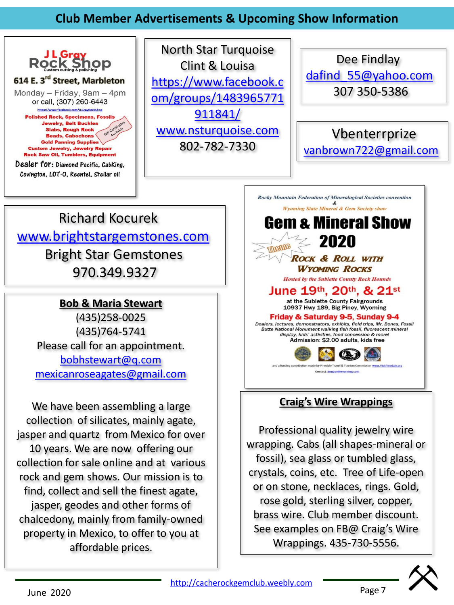### **Club Member Advertisements & Upcoming Show Information**



North Star Turquoise Clint & Louisa https://www.facebook.c [om/groups/1483965771](https://www.facebook.com/groups/1483965771911841/) 911841/ [www.nsturquoise.com](http://www.nsturquoise.com/) 802-782-7330

Dee Findlay [dafind\\_55@yahoo.com](mailto:dafind_55@yahoo.com) 307 350-5386

Vbenterrprize [vanbrown722@gmail.com](mailto:vanbrown722@gmail.com)

# Richard Kocurek [www.brightstargemstones.com](http://www.brightstargemstones.com/) Bright Star Gemstones 970.349.9327

#### **Bob & Maria Stewart**

(435)258-0025 (435)764-5741 Please call for an appointment. [bobhstewart@q.com](mailto:bobhstewart@q.com) [mexicanroseagates@gmail.com](mailto:mexicanroseagates@gmail.com)

We have been assembling a large collection of silicates, mainly agate, jasper and quartz from Mexico for over 10 years. We are now offering our collection for sale online and at various rock and gem shows. Our mission is to find, collect and sell the finest agate, jasper, geodes and other forms of chalcedony, mainly from family-owned property in Mexico, to offer to you at affordable prices.



#### **Craig's Wire Wrappings**

Professional quality jewelry wire wrapping. Cabs (all shapes-mineral or fossil), sea glass or tumbled glass, crystals, coins, etc. Tree of Life-open or on stone, necklaces, rings. Gold, rose gold, sterling silver, copper, brass wire. Club member discount. See examples on FB@ Craig's Wire Wrappings. 435-730-5556.